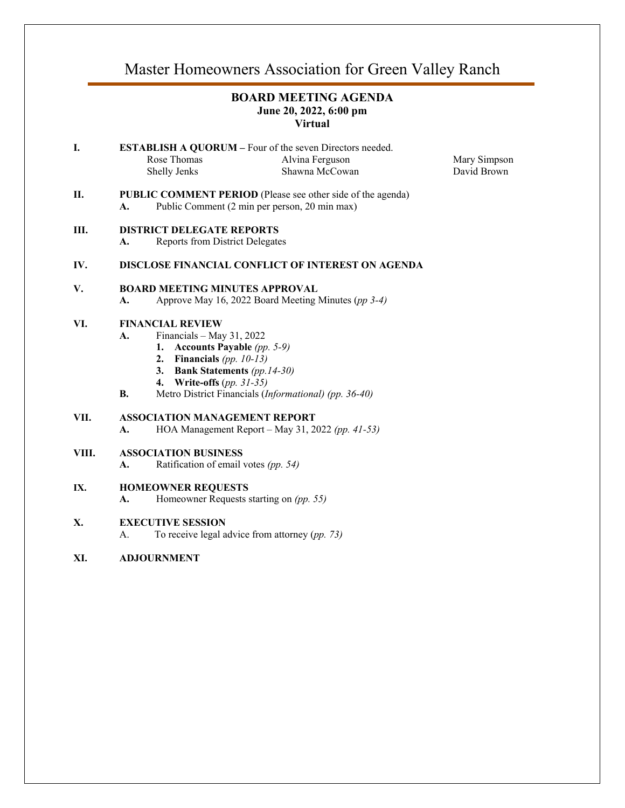# Master Homeowners Association for Green Valley Ranch

# **BOARD MEETING AGENDA June 20, 2022, 6:00 pm Virtual**

**I. ESTABLISH A QUORUM** – Four of the seven Directors needed. Rose Thomas Shelly Jenks Alvina Ferguson Shawna McCowan

Mary Simpson David Brown

**II. PUBLIC COMMENT PERIOD** (Please see other side of the agenda) **A.** Public Comment (2 min per person, 20 min max)

# **III. DISTRICT DELEGATE REPORTS**

**A.** Reports from District Delegates

# **IV. DISCLOSE FINANCIAL CONFLICT OF INTEREST ON AGENDA**

#### **V. BOARD MEETING MINUTES APPROVAL**

**A.** Approve May 16, 2022 Board Meeting Minutes (*pp 3-4)*

#### **VI. FINANCIAL REVIEW**

- **A.** Financials May 31, 2022
	- **1. Accounts Payable** *(pp. 5-9)*
	- **2. Financials** *(pp. 10-13)*
	- **3. Bank Statements** *(pp.14-30)*
	- **4. Write-offs** (*pp. 31-35)*
- **B.** Metro District Financials (*Informational) (pp. 36-40)*

# **VII. ASSOCIATION MANAGEMENT REPORT**

**A.** HOA Management Report – May 31, 2022 *(pp. 41-53)*

#### **VIII. ASSOCIATION BUSINESS**

**A.** Ratification of email votes *(pp. 54)*

#### **IX. HOMEOWNER REQUESTS**

**A.** Homeowner Requests starting on *(pp. 55)*

#### **X. EXECUTIVE SESSION**

A. To receive legal advice from attorney (*pp. 73)*

### **XI. ADJOURNMENT**